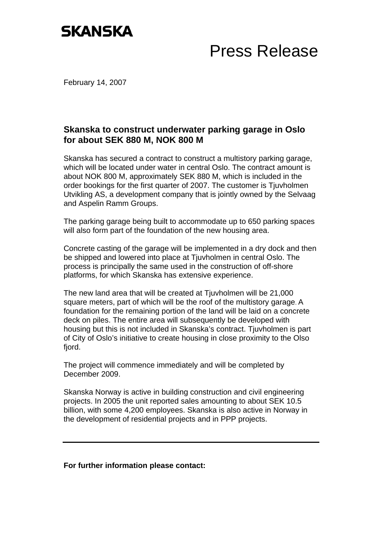## **SKANSKA**

## Press Release

February 14, 2007

## **Skanska to construct underwater parking garage in Oslo for about SEK 880 M, NOK 800 M**

Skanska has secured a contract to construct a multistory parking garage, which will be located under water in central Oslo. The contract amount is about NOK 800 M, approximately SEK 880 M, which is included in the order bookings for the first quarter of 2007. The customer is Tjuvholmen Utvikling AS, a development company that is jointly owned by the Selvaag and Aspelin Ramm Groups.

The parking garage being built to accommodate up to 650 parking spaces will also form part of the foundation of the new housing area.

Concrete casting of the garage will be implemented in a dry dock and then be shipped and lowered into place at Tjuvholmen in central Oslo. The process is principally the same used in the construction of off-shore platforms, for which Skanska has extensive experience.

The new land area that will be created at Tiuvholmen will be 21,000 square meters, part of which will be the roof of the multistory garage. A foundation for the remaining portion of the land will be laid on a concrete deck on piles. The entire area will subsequently be developed with housing but this is not included in Skanska's contract. Tjuvholmen is part of City of Oslo's initiative to create housing in close proximity to the Olso fiord.

The project will commence immediately and will be completed by December 2009.

Skanska Norway is active in building construction and civil engineering projects. In 2005 the unit reported sales amounting to about SEK 10.5 billion, with some 4,200 employees. Skanska is also active in Norway in the development of residential projects and in PPP projects.

**For further information please contact:**